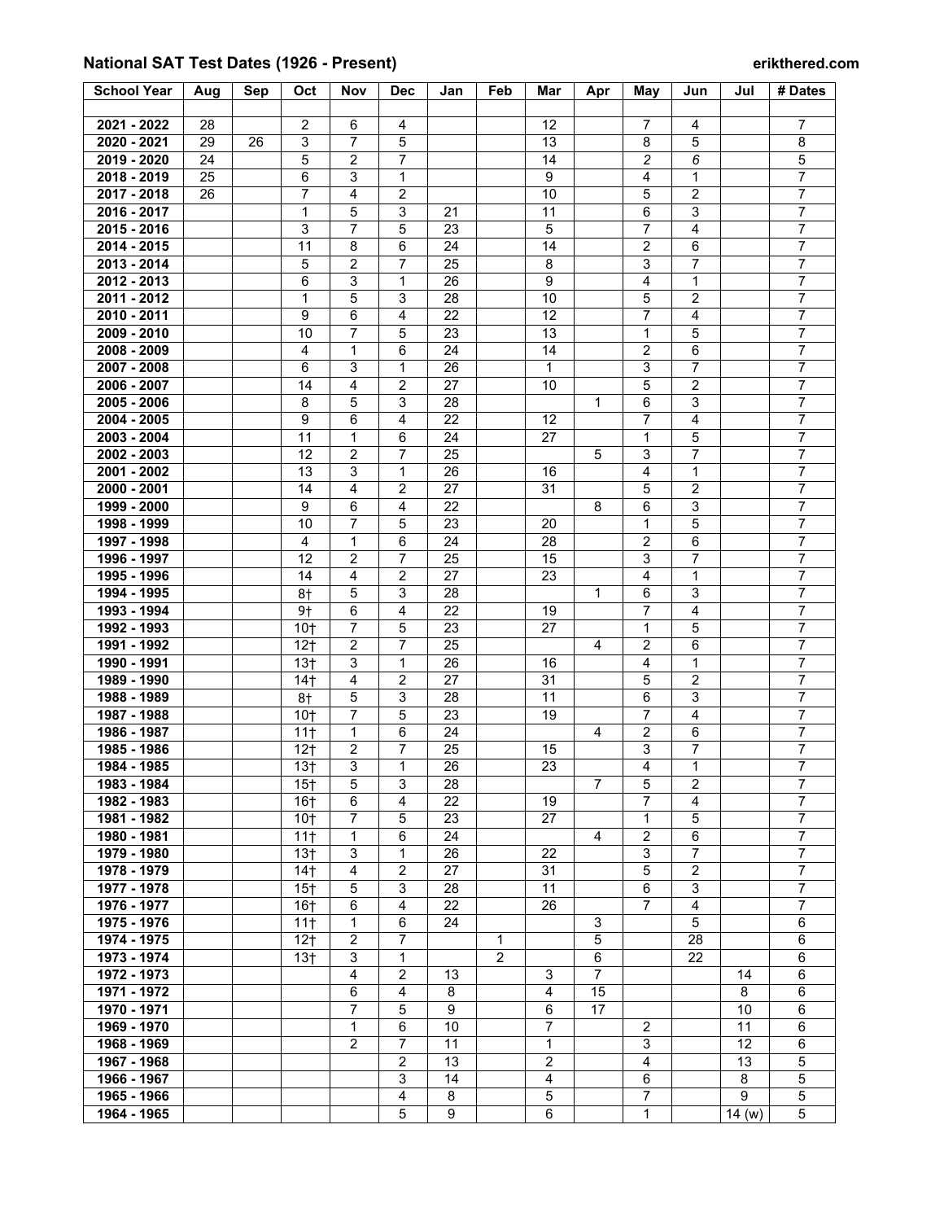## **National SAT Test Dates (1926 - Present) erikthered.com**

| <b>School Year</b> | Aug | Sep | Oct              | Nov                     | <b>Dec</b>      | Jan      | Feb          | Mar                     | Apr            | May                     | Jun                     | Jul   | # Dates        |
|--------------------|-----|-----|------------------|-------------------------|-----------------|----------|--------------|-------------------------|----------------|-------------------------|-------------------------|-------|----------------|
|                    |     |     |                  |                         |                 |          |              |                         |                |                         |                         |       |                |
| 2021 - 2022        | 28  |     | $\overline{c}$   | 6                       | 4               |          |              | 12                      |                | 7                       | 4                       |       | 7              |
| 2020 - 2021        | 29  | 26  | $\overline{3}$   | $\overline{7}$          | 5               |          |              | 13                      |                | 8                       | 5                       |       | $\overline{8}$ |
| 2019 - 2020        | 24  |     | 5                | $\overline{c}$          | $\overline{7}$  |          |              | 14                      |                | $\overline{c}$          | 6                       |       | $\,$ 5 $\,$    |
| 2018 - 2019        | 25  |     | 6                | 3                       | $\mathbf{1}$    |          |              | 9                       |                | 4                       | $\mathbf{1}$            |       | $\overline{7}$ |
| 2017 - 2018        | 26  |     | 7                | 4                       | $\overline{2}$  |          |              | 10                      |                | 5                       | $\overline{2}$          |       | $\overline{7}$ |
| 2016 - 2017        |     |     | 1                | 5                       | 3               | 21       |              | 11                      |                | 6                       | 3                       |       | $\overline{7}$ |
| 2015 - 2016        |     |     | 3                | 7                       | 5               | 23       |              | 5                       |                | $\overline{7}$          | $\overline{4}$          |       | $\overline{7}$ |
| 2014 - 2015        |     |     | 11               | 8                       | 6               | 24       |              | 14                      |                | $\overline{2}$          | 6                       |       | $\overline{7}$ |
| 2013 - 2014        |     |     | 5                | $\overline{c}$          | $\overline{7}$  | 25       |              | 8                       |                | $\mathsf 3$             | $\overline{7}$          |       | $\overline{7}$ |
| 2012 - 2013        |     |     | 6                | 3                       | $\mathbf{1}$    | 26       |              | 9                       |                | 4                       | $\mathbf{1}$            |       | $\overline{7}$ |
| 2011 - 2012        |     |     | 1                | 5                       | 3               | 28       |              | 10                      |                | 5                       | $\overline{2}$          |       | $\overline{7}$ |
| 2010 - 2011        |     |     | 9                | 6                       | $\overline{4}$  | 22       |              | 12                      |                | $\overline{7}$          | $\overline{\mathbf{4}}$ |       | $\overline{7}$ |
| 2009 - 2010        |     |     | 10               | 7                       | 5               | 23       |              | 13                      |                | 1                       | 5                       |       | $\overline{7}$ |
| 2008 - 2009        |     |     | 4                | 1                       | 6               | 24       |              | 14                      |                | $\overline{2}$          | 6                       |       | $\overline{7}$ |
| 2007 - 2008        |     |     | 6                | 3                       | $\mathbf{1}$    | 26       |              | $\mathbf{1}$            |                | $\overline{3}$          | $\overline{7}$          |       | $\overline{7}$ |
| 2006 - 2007        |     |     | 14               | 4                       | $\overline{2}$  | 27       |              | 10                      |                | 5                       | $\overline{2}$          |       | $\overline{7}$ |
| 2005 - 2006        |     |     | 8                | 5                       | 3               | 28       |              |                         | 1              | 6                       | 3                       |       | $\overline{7}$ |
| 2004 - 2005        |     |     | $\boldsymbol{9}$ | $6\phantom{1}$          | $\overline{4}$  | 22       |              | 12                      |                | $\overline{7}$          | $\overline{4}$          |       | $\overline{7}$ |
| 2003 - 2004        |     |     | 11               | $\mathbf{1}$            | $6\phantom{1}6$ | 24       |              | 27                      |                | $\mathbf{1}$            | 5                       |       | $\overline{7}$ |
| 2002 - 2003        |     |     | 12               | $\overline{2}$          | $\overline{7}$  | 25       |              |                         | 5              | $\mathsf 3$             | $\overline{7}$          |       | $\overline{7}$ |
| 2001 - 2002        |     |     | 13               | 3                       | 1               |          |              |                         |                | 4                       | 1                       |       | $\overline{7}$ |
| 2000 - 2001        |     |     | 14               | $\overline{4}$          | $\overline{c}$  | 26<br>27 |              | 16<br>31                |                | 5                       | $\overline{2}$          |       | $\overline{7}$ |
| 1999 - 2000        |     |     | 9                | 6                       | 4               | 22       |              |                         | 8              | 6                       | $\mathsf 3$             |       | $\overline{7}$ |
| 1998 - 1999        |     |     |                  | $\overline{7}$          | 5               | 23       |              |                         |                | $\mathbf{1}$            | 5                       |       | $\overline{7}$ |
|                    |     |     | 10               | $\mathbf{1}$            |                 |          |              | 20                      |                |                         | 6                       |       | $\overline{7}$ |
| 1997 - 1998        |     |     | 4                |                         | 6               | 24       |              | 28                      |                | $\overline{2}$          |                         |       | $\overline{7}$ |
| 1996 - 1997        |     |     | 12               | $\overline{c}$          | $\overline{7}$  | 25       |              | 15                      |                | 3                       | $\overline{7}$          |       | $\overline{7}$ |
| 1995 - 1996        |     |     | 14               | 4                       | $\overline{2}$  | 27       |              | 23                      |                | 4                       | 1                       |       |                |
| 1994 - 1995        |     |     | 8†               | 5                       | 3               | 28       |              |                         | $\mathbf{1}$   | 6                       | 3                       |       | $\overline{7}$ |
| 1993 - 1994        |     |     | 9†               | 6                       | 4               | 22       |              | 19                      |                | 7                       | 4                       |       | $\overline{7}$ |
| 1992 - 1993        |     |     | 10 <sub>1</sub>  | 7                       | 5               | 23       |              | 27                      |                | 1                       | 5                       |       | $\overline{7}$ |
| 1991 - 1992        |     |     | 12 <sub>†</sub>  | 2                       | $\overline{7}$  | 25       |              |                         | 4              | 2                       | $\,6$                   |       | $\overline{7}$ |
| 1990 - 1991        |     |     | 13 <sub>†</sub>  | 3                       | $\mathbf{1}$    | 26       |              | 16                      |                | $\overline{\mathbf{4}}$ | $\mathbf{1}$            |       | $\overline{7}$ |
| 1989 - 1990        |     |     | 14 <sub>†</sub>  | $\overline{4}$          | $\overline{2}$  | 27       |              | 31                      |                | 5                       | $\overline{2}$          |       | $\overline{7}$ |
| 1988 - 1989        |     |     | 8†               | 5                       | 3               | 28       |              | 11                      |                | 6                       | 3                       |       | $\overline{7}$ |
| 1987 - 1988        |     |     | 10 <sub>1</sub>  | $\overline{7}$          | 5               | 23       |              | 19                      |                | $\overline{7}$          | $\overline{4}$          |       | $\overline{7}$ |
| 1986 - 1987        |     |     | $11+$            | $\mathbf{1}$            | 6               | 24       |              |                         | 4              | $\overline{2}$          | 6                       |       | $\overline{7}$ |
| 1985 - 1986        |     |     | 12 <sub>1</sub>  | $\overline{\mathbf{c}}$ | 7               | 25       |              | 15                      |                | 3                       | 7                       |       | 7              |
| 1984 - 1985        |     |     | 13 <sub>†</sub>  | 3                       | 1               | 26       |              | 23                      |                | 4                       | 1                       |       | $\overline{7}$ |
| 1983 - 1984        |     |     | 15 <sub>†</sub>  | 5                       | 3               | 28       |              |                         | $\overline{7}$ | 5                       | 2                       |       | $\overline{7}$ |
| 1982 - 1983        |     |     | 16 <sub>†</sub>  | 6                       | 4               | 22       |              | 19                      |                | $\overline{7}$          | $\overline{4}$          |       | $\overline{7}$ |
| 1981 - 1982        |     |     | 10 <sub>†</sub>  | $\overline{7}$          | 5               | 23       |              | 27                      |                | $\mathbf{1}$            | 5                       |       | $\overline{7}$ |
| 1980 - 1981        |     |     | 11 <sup>†</sup>  | $\mathbf{1}$            | 6               | 24       |              |                         | $\overline{4}$ | $\overline{2}$          | 6                       |       | $\overline{7}$ |
| 1979 - 1980        |     |     | 13 <sub>†</sub>  | 3                       | 1               | 26       |              | 22                      |                | $\mathbf{3}$            | $\overline{7}$          |       | $\overline{7}$ |
| 1978 - 1979        |     |     | 14 <sub>†</sub>  | 4                       | $\overline{2}$  | 27       |              | 31                      |                | 5                       | $\overline{2}$          |       | $\overline{7}$ |
| 1977 - 1978        |     |     | 15 <sub>†</sub>  | 5                       | 3               | 28       |              | 11                      |                | 6                       | 3                       |       | 7              |
| 1976 - 1977        |     |     | 16 <sub>†</sub>  | 6                       | $\overline{4}$  | 22       |              | 26                      |                | 7                       | $\overline{4}$          |       | $\overline{7}$ |
| 1975 - 1976        |     |     | 11 <sup>†</sup>  | $\mathbf{1}$            | 6               | 24       |              |                         | 3              |                         | 5                       |       | 6              |
| 1974 - 1975        |     |     | $12+$            | $\overline{2}$          | $\overline{7}$  |          | $\mathbf{1}$ |                         | 5              |                         | 28                      |       | 6              |
| 1973 - 1974        |     |     | 13 <sub>†</sub>  | 3                       | 1               |          | $\mathbf{2}$ |                         | 6              |                         | 22                      |       | 6              |
| 1972 - 1973        |     |     |                  | $\overline{4}$          | $\overline{2}$  | 13       |              | 3                       | $\overline{7}$ |                         |                         | 14    | 6              |
| 1971 - 1972        |     |     |                  | 6                       | $\overline{4}$  | 8        |              | 4                       | 15             |                         |                         | 8     | 6              |
| 1970 - 1971        |     |     |                  | 7                       | 5               | 9        |              | 6                       | 17             |                         |                         | 10    | 6              |
| 1969 - 1970        |     |     |                  | 1                       | 6               | 10       |              | $\overline{7}$          |                | 2                       |                         | 11    | 6              |
| 1968 - 1969        |     |     |                  | 2                       | $\overline{7}$  | 11       |              | 1                       |                | 3                       |                         | 12    | 6              |
| 1967 - 1968        |     |     |                  |                         | $\overline{2}$  | 13       |              | $\overline{\mathbf{c}}$ |                | $\overline{4}$          |                         | 13    | 5              |
| 1966 - 1967        |     |     |                  |                         | 3               | 14       |              | $\overline{4}$          |                | 6                       |                         | 8     | 5              |
| 1965 - 1966        |     |     |                  |                         | $\overline{4}$  | 8        |              | 5                       |                | $\overline{7}$          |                         | 9     | 5              |
| 1964 - 1965        |     |     |                  |                         | 5               | 9        |              | $\,6\,$                 |                | $\mathbf{1}$            |                         | 14(w) | 5              |